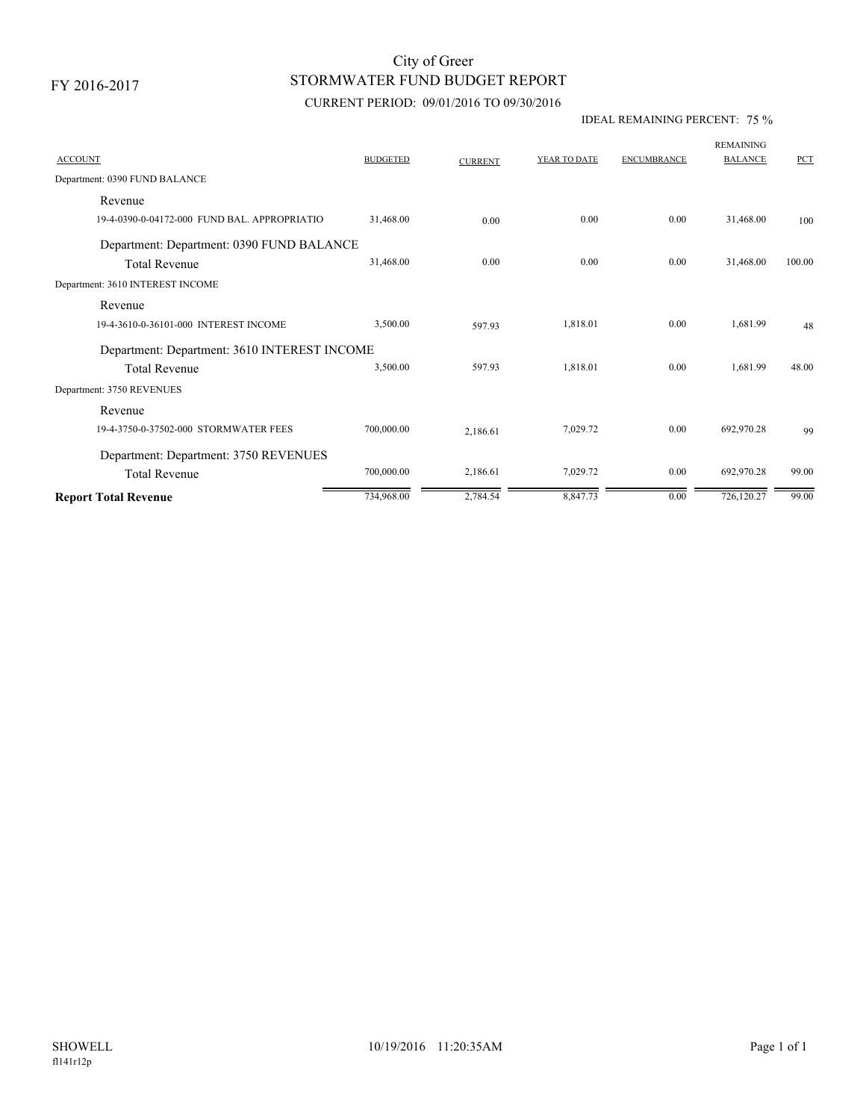# STORMWATER FUND BUDGET REPORT City of Greer

### CURRENT PERIOD: 09/01/2016 TO 09/30/2016

#### IDEAL REMAINING PERCENT: 75 %

| <b>ACCOUNT</b>                               | <b>BUDGETED</b> | <b>CURRENT</b> | YEAR TO DATE | <b>ENCUMBRANCE</b> | <b>REMAINING</b><br><b>BALANCE</b> | <b>PCT</b> |
|----------------------------------------------|-----------------|----------------|--------------|--------------------|------------------------------------|------------|
| Department: 0390 FUND BALANCE                |                 |                |              |                    |                                    |            |
| Revenue                                      |                 |                |              |                    |                                    |            |
| 19-4-0390-0-04172-000 FUND BAL, APPROPRIATIO | 31,468.00       | 0.00           | 0.00         | 0.00               | 31,468.00                          | 100        |
| Department: Department: 0390 FUND BALANCE    |                 |                |              |                    |                                    |            |
| <b>Total Revenue</b>                         | 31,468.00       | 0.00           | 0.00         | 0.00               | 31,468.00                          | 100.00     |
| Department: 3610 INTEREST INCOME             |                 |                |              |                    |                                    |            |
| Revenue                                      |                 |                |              |                    |                                    |            |
| 19-4-3610-0-36101-000 INTEREST INCOME        | 3,500.00        | 597.93         | 1,818.01     | 0.00               | 1,681.99                           | 48         |
| Department: Department: 3610 INTEREST INCOME |                 |                |              |                    |                                    |            |
| <b>Total Revenue</b>                         | 3,500.00        | 597.93         | 1,818.01     | 0.00               | 1,681.99                           | 48.00      |
| Department: 3750 REVENUES                    |                 |                |              |                    |                                    |            |
| Revenue                                      |                 |                |              |                    |                                    |            |
| 19-4-3750-0-37502-000 STORMWATER FEES        | 700,000.00      | 2,186.61       | 7,029.72     | 0.00               | 692,970.28                         | 99         |
| Department: Department: 3750 REVENUES        |                 |                |              |                    |                                    |            |
| <b>Total Revenue</b>                         | 700,000.00      | 2,186.61       | 7,029.72     | 0.00               | 692,970.28                         | 99.00      |
| <b>Report Total Revenue</b>                  | 734,968.00      | 2,784.54       | 8,847.73     | 0.00               | 726,120.27                         | 99.00      |